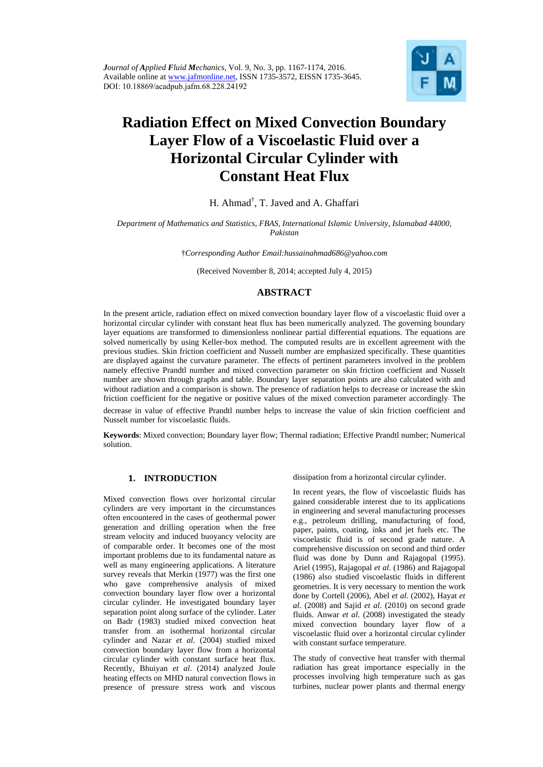

# **Radiation Effect on Mixed Convection Boundary Layer Flow of a Viscoelastic Fluid over a Horizontal Circular Cylinder with Constant Heat Flux**

H. Ahmad<sup>†</sup>, T. Javed and A. Ghaffari

## *Department of Mathematics and Statistics, FBAS, International Islamic University, Islamabad 44000, Pakistan*

†*Corresponding Author Email:hussainahmad686@yahoo.com* 

(Received November 8, 2014; accepted July 4, 2015)

# **ABSTRACT**

In the present article, radiation effect on mixed convection boundary layer flow of a viscoelastic fluid over a horizontal circular cylinder with constant heat flux has been numerically analyzed. The governing boundary layer equations are transformed to dimensionless nonlinear partial differential equations. The equations are solved numerically by using Keller-box method. The computed results are in excellent agreement with the previous studies. Skin friction coefficient and Nusselt number are emphasized specifically. These quantities are displayed against the curvature parameter. The effects of pertinent parameters involved in the problem namely effective Prandtl number and mixed convection parameter on skin friction coefficient and Nusselt number are shown through graphs and table. Boundary layer separation points are also calculated with and without radiation and a comparison is shown. The presence of radiation helps to decrease or increase the skin friction coefficient for the negative or positive values of the mixed convection parameter accordingly. The

decrease in value of effective Prandtl number helps to increase the value of skin friction coefficient and Nusselt number for viscoelastic fluids.

**Keywords**: Mixed convection; Boundary layer flow; Thermal radiation; Effective Prandtl number; Numerical solution.

# **1. INTRODUCTION**

Mixed convection flows over horizontal circular cylinders are very important in the circumstances often encountered in the cases of geothermal power generation and drilling operation when the free stream velocity and induced buoyancy velocity are of comparable order. It becomes one of the most important problems due to its fundamental nature as well as many engineering applications. A literature survey reveals that Merkin (1977) was the first one who gave comprehensive analysis of mixed convection boundary layer flow over a horizontal circular cylinder. He investigated boundary layer separation point along surface of the cylinder. Later on Badr (1983) studied mixed convection heat transfer from an isothermal horizontal circular cylinder and Nazar *et al*. (2004) studied mixed convection boundary layer flow from a horizontal circular cylinder with constant surface heat flux. Recently, Bhuiyan *et al*. (2014) analyzed Joule heating effects on MHD natural convection flows in presence of pressure stress work and viscous

dissipation from a horizontal circular cylinder.

In recent years, the flow of viscoelastic fluids has gained considerable interest due to its applications in engineering and several manufacturing processes e.g., petroleum drilling, manufacturing of food, paper, paints, coating, inks and jet fuels etc. The viscoelastic fluid is of second grade nature. A comprehensive discussion on second and third order fluid was done by Dunn and Rajagopal (1995). Ariel (1995), Rajagopal *et al*. (1986) and Rajagopal (1986) also studied viscoelastic fluids in different geometries. It is very necessary to mention the work done by Cortell (2006), Abel *et al*. (2002), Hayat *et al*. (2008) and Sajid *et al*. (2010) on second grade fluids. Anwar *et al*. (2008) investigated the steady mixed convection boundary layer flow of a viscoelastic fluid over a horizontal circular cylinder with constant surface temperature.

The study of convective heat transfer with thermal radiation has great importance especially in the processes involving high temperature such as gas turbines, nuclear power plants and thermal energy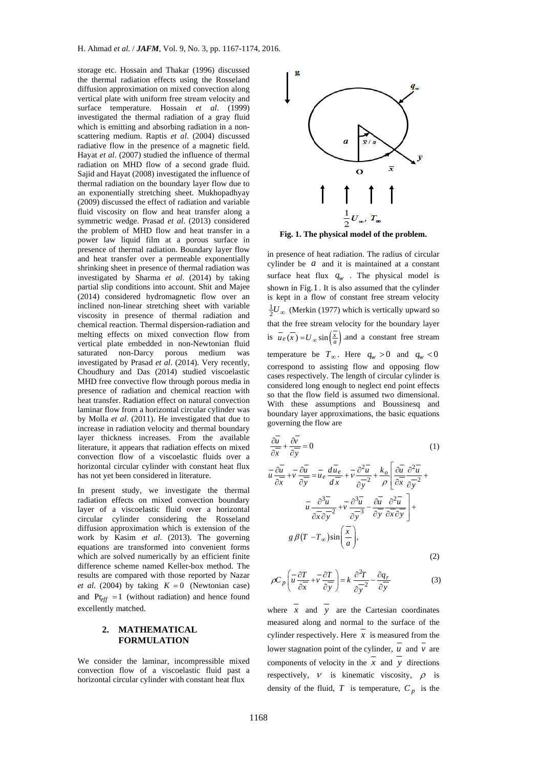storage etc. Hossain and Thakar (1996) discussed the thermal radiation effects using the Rosseland diffusion approximation on mixed convection along vertical plate with uniform free stream velocity and surface temperature. Hossain *et al*. (1999) investigated the thermal radiation of a gray fluid which is emitting and absorbing radiation in a nonscattering medium. Raptis *et al*. (2004) discussed radiative flow in the presence of a magnetic field. Hayat *et al*. (2007) studied the influence of thermal radiation on MHD flow of a second grade fluid. Sajid and Hayat (2008) investigated the influence of thermal radiation on the boundary layer flow due to an exponentially stretching sheet. Mukhopadhyay (2009) discussed the effect of radiation and variable fluid viscosity on flow and heat transfer along a symmetric wedge. Prasad *et al*. (2013) considered the problem of MHD flow and heat transfer in a power law liquid film at a porous surface in presence of thermal radiation. Boundary layer flow and heat transfer over a permeable exponentially shrinking sheet in presence of thermal radiation was investigated by Sharma *et al*. (2014) by taking partial slip conditions into account. Shit and Majee (2014) considered hydromagnetic flow over an inclined non-linear stretching sheet with variable viscosity in presence of thermal radiation and chemical reaction. Thermal dispersion-radiation and melting effects on mixed convection flow from vertical plate embedded in non-Newtonian fluid saturated non-Darcy porous medium was investigated by Prasad *et al*. (2014). Very recently, Choudhury and Das (2014) studied viscoelastic MHD free convective flow through porous media in presence of radiation and chemical reaction with heat transfer. Radiation effect on natural convection laminar flow from a horizontal circular cylinder was by Molla *et al*. (2011). He investigated that due to increase in radiation velocity and thermal boundary layer thickness increases. From the available literature, it appears that radiation effects on mixed convection flow of a viscoelastic fluids over a horizontal circular cylinder with constant heat flux has not yet been considered in literature.

In present study, we investigate the thermal radiation effects on mixed convection boundary layer of a viscoelastic fluid over a horizontal circular cylinder considering the Rosseland diffusion approximation which is extension of the work by Kasim *et al*. (2013). The governing equations are transformed into convenient forms which are solved numerically by an efficient finite difference scheme named Keller-box method. The results are compared with those reported by Nazar *et al.* (2004) by taking  $K = 0$  (Newtonian case) and  $Pr_{eff}$  =1 (without radiation) and hence found excellently matched.

## **2. MATHEMATICAL FORMULATION**

We consider the laminar, incompressible mixed convection flow of a viscoelastic fluid past a horizontal circular cylinder with constant heat flux



**Fig. 1. The physical model of the problem.**

in presence of heat radiation. The radius of circular cylinder be *a* and it is maintained at a constant surface heat flux  $q_w$ . The physical model is shown in Fig.1 . It is also assumed that the cylinder is kept in a flow of constant free stream velocity  $\frac{1}{2}U_{\infty}$  (Merkin (1977) which is vertically upward so that the free stream velocity for the boundary layer is  $\overline{u_e(x)} = U_\infty \sin \left(\frac{\overline{x}}{a}\right)$  and a constant free stream temperature be  $T_{\infty}$ . Here  $q_w > 0$  and  $q_w < 0$ correspond to assisting flow and opposing flow cases respectively. The length of circular cylinder is considered long enough to neglect end point effects so that the flow field is assumed two dimensional. With these assumptions and Boussinesq and boundary layer approximations, the basic equations governing the flow are

$$
\frac{\partial u}{\partial x} + \frac{\partial v}{\partial y} = 0
$$
\n
$$
u \frac{\partial u}{\partial x} + v \frac{\partial u}{\partial y} = u_e \frac{d u_e}{dx} + v \frac{\partial^2 u}{\partial y^2} + \frac{k_o}{\rho} \left[ \frac{\partial u}{\partial x} \frac{\partial^2 u}{\partial y^2} + \frac{\partial^2 u}{\partial x \partial y^2} \right]
$$
\n
$$
u \frac{\partial^3 u}{\partial x \partial y^2} + v \frac{\partial^3 u}{\partial y^3} - \frac{\partial u}{\partial y} \frac{\partial^2 u}{\partial x \partial y} + \frac{\partial^3 u}{\partial y \partial x \partial y} + g \beta (T - T_{\infty}) \sin \left( \frac{x}{a} \right),
$$
\n(2)

$$
\rho C_p \left( \overline{u} \frac{\partial T}{\partial x} + \overline{v} \frac{\partial T}{\partial y} \right) = k \frac{\partial^2 T}{\partial y^2} - \frac{\partial q_r}{\partial y}
$$
(3)

where  $\overline{x}$  and  $\overline{y}$  are the Cartesian coordinates measured along and normal to the surface of the cylinder respectively. Here *x* is measured from the lower stagnation point of the cylinder, *u* and *v* are components of velocity in the  $\overline{x}$  and  $\overline{y}$  directions respectively,  $V$  is kinematic viscosity,  $\rho$  is density of the fluid,  $T$  is temperature,  $C_p$  is the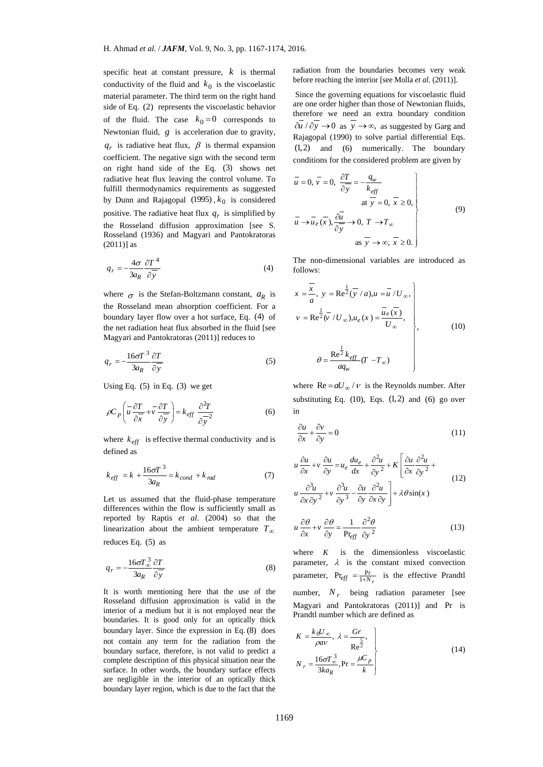specific heat at constant pressure, *k* is thermal conductivity of the fluid and  $k_0$  is the viscoelastic material parameter. The third term on the right hand side of Eq. (2) represents the viscoelastic behavior of the fluid. The case  $k_0 = 0$  corresponds to Newtonian fluid, *g* is acceleration due to gravity,  $q_r$  is radiative heat flux,  $\beta$  is thermal expansion coefficient. The negative sign with the second term on right hand side of the Eq. (3) shows net radiative heat flux leaving the control volume. To fulfill thermodynamics requirements as suggested by Dunn and Rajagopal (1995),  $k_0$  is considered positive. The radiative heat flux  $q_r$  is simplified by the Rosseland diffusion approximation [see S. Rosseland (1936) and Magyari and Pantokratoras (2011)] as

$$
q_r = -\frac{4\sigma}{3a_R} \frac{\partial T^4}{\partial y}
$$
 (4)

where  $\sigma$  is the Stefan-Boltzmann constant,  $a_R$  is the Rosseland mean absorption coefficient. For a boundary layer flow over a hot surface, Eq. (4) of the net radiation heat flux absorbed in the fluid [see Magyari and Pantokratoras (2011)] reduces to

$$
q_r = -\frac{16\sigma T^3}{3a_R} \frac{\partial T}{\partial y}
$$
 (5)

Using Eq.  $(5)$  in Eq.  $(3)$  we get

$$
\rho C_p \left( u \frac{\partial T}{\partial x} + v \frac{\partial T}{\partial y} \right) = k_{eff} \frac{\partial^2 T}{\partial y^2}
$$
 (6)

where  $k_{\text{eff}}$  is effective thermal conductivity and is defined as

$$
k_{\text{eff}} = k + \frac{16\sigma T^3}{3a_R} = k_{\text{cond}} + k_{\text{rad}} \tag{7}
$$

Let us assumed that the fluid-phase temperature differences within the flow is sufficiently small as reported by Raptis *et al*. (2004) so that the linearization about the ambient temperature  $T_{\infty}$ reduces Eq. (5) as

$$
q_r = -\frac{16\sigma T_{\infty}^3}{3a_R} \frac{\partial T}{\partial y}
$$
 (8)

It is worth mentioning here that the use of the Rosseland diffusion approximation is valid in the interior of a medium but it is not employed near the boundaries. It is good only for an optically thick boundary layer. Since the expression in Eq. (8) does not contain any term for the radiation from the boundary surface, therefore, is not valid to predict a complete description of this physical situation near the surface. In other words, the boundary surface effects are negligible in the interior of an optically thick boundary layer region, which is due to the fact that the

radiation from the boundaries becomes very weak before reaching the interior [see Molla *et al*. (2011)].

 Since the governing equations for viscoelastic fluid are one order higher than those of Newtonian fluids, therefore we need an extra boundary condition  $\overline{\partial u}/\partial y \rightarrow 0$  as  $\overline{y} \rightarrow \infty$ , as suggested by Garg and Rajagopal (1990) to solve partial differential Eqs. (1,2) and (6) numerically. The boundary conditions for the considered problem are given by

$$
\overline{u} = 0, \overline{v} = 0, \frac{\partial T}{\partial \overline{y}} = -\frac{q_w}{k_{eff}}
$$
\nat  $\overline{y} = 0, \overline{x} \ge 0,$ \n
$$
\overline{u} \rightarrow \overline{u}_e(\overline{x}), \frac{\partial \overline{u}}{\partial \overline{y}} \rightarrow 0, T \rightarrow T_\infty
$$
\nas  $\overline{y} \rightarrow \infty, \overline{x} \ge 0.$ \n(9)

The non-dimensional variables are introduced as follows:

$$
x = \frac{\overline{x}}{a}, y = \text{Re}^{\frac{1}{2}}(\overline{y}/a), u = \overline{u}/U_{\infty},
$$
  
\n
$$
v = \text{Re}^{\frac{1}{2}}(\overline{v}/U_{\infty}), u_e(x) = \frac{\overline{u}_e(\overline{x})}{U_{\infty}},
$$
  
\n
$$
\theta = \frac{\text{Re}^{\frac{1}{2}}k_{\text{eff}}}{a q_w} (T - T_{\infty})
$$
\n(10)

where  $Re = aU_{\infty}/v$  is the Reynolds number. After substituting Eq.  $(10)$ , Eqs.  $(1,2)$  and  $(6)$  go over in

$$
\frac{\partial u}{\partial x} + \frac{\partial v}{\partial y} = 0\tag{11}
$$

$$
u\frac{\partial u}{\partial x} + v\frac{\partial u}{\partial y} = u_e \frac{du_e}{dx} + \frac{\partial^2 u}{\partial y^2} + K \left[ \frac{\partial u}{\partial x} \frac{\partial^2 u}{\partial y^2} + u \frac{\partial^3 u}{\partial x \partial y^2} + v \frac{\partial^3 u}{\partial y^3} - \frac{\partial u}{\partial y} \frac{\partial^2 u}{\partial x \partial y} \right] + \lambda \theta \sin(x)
$$
\n(12)

$$
u\frac{\partial \theta}{\partial x} + v\frac{\partial \theta}{\partial y} = \frac{1}{\text{Pr}_{\text{eff}}} \frac{\partial^2 \theta}{\partial y^2}
$$
 (13)

where  $K$  is the dimensionless viscoelastic parameter,  $\lambda$  is the constant mixed convection parameter,  $Pr_{eff} = \frac{Pr}{1 + N_r}$  is the effective Prandtl number,  $N_r$  being radiation parameter [see Magyari and Pantokratoras (2011)] and Pr is Prandtl number which are defined as

$$
K = \frac{k_0 U_{\infty}}{\rho a v}, \ \lambda = \frac{Gr}{Re^{\frac{5}{2}}},
$$
  

$$
N_r = \frac{16\sigma T_{\infty}^3}{3ka_R}, Pr = \frac{\mu C_p}{k}
$$
 (14)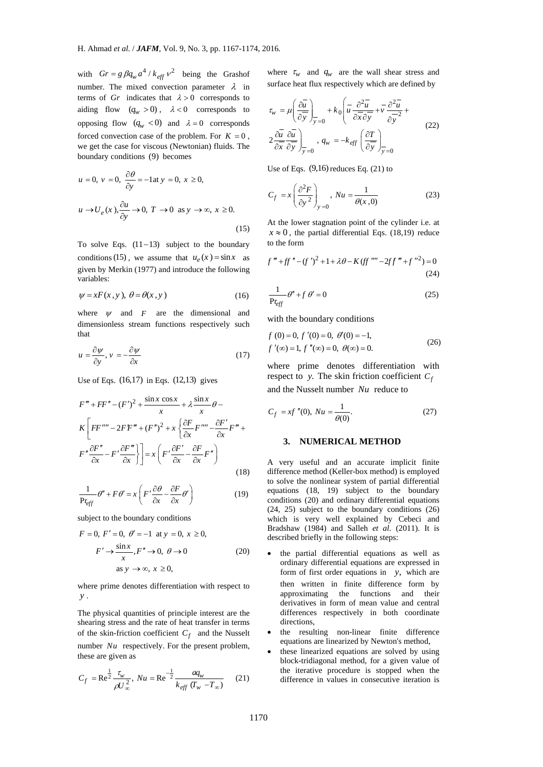with  $Gr = g \beta q_w a^4 / k_{eff} v^2$  being the Grashof number. The mixed convection parameter  $\lambda$  in terms of *Gr* indicates that  $\lambda > 0$  corresponds to aiding flow  $(q_w > 0)$ ,  $\lambda < 0$  corresponds to opposing flow  $(q_w < 0)$  and  $\lambda = 0$  corresponds forced convection case of the problem. For  $K = 0$ , we get the case for viscous (Newtonian) fluids. The boundary conditions (9) becomes

$$
u = 0, v = 0, \frac{\partial \theta}{\partial y} = -1 \text{at } y = 0, x \ge 0,
$$
  

$$
u \to U_e(x), \frac{\partial u}{\partial y} \to 0, T \to 0 \text{ as } y \to \infty, x \ge 0.
$$
 (15)

To solve Eqs.  $(11-13)$  subject to the boundary conditions (15), we assume that  $u_e(x) = \sin x$  as given by Merkin (1977) and introduce the following variables:

$$
\psi = xF(x, y), \ \theta = \theta(x, y) \tag{16}
$$

where  $\psi$  and  $F$  are the dimensional and dimensionless stream functions respectively such that

$$
u = \frac{\partial \psi}{\partial y}, \, v = -\frac{\partial \psi}{\partial x} \tag{17}
$$

Use of Eqs. (16,17) in Eqs. (12,13) gives

$$
F''' + FF'' - (F')^{2} + \frac{\sin x \cos x}{x} + \lambda \frac{\sin x}{x} \theta - K \left[ FF'''' - 2FF''' + (F'')^{2} + x \left\{ \frac{\partial F}{\partial x} F'''' - \frac{\partial F'}{\partial x} F''' + F'' \frac{\partial F''}{\partial x} - F' \frac{\partial F'''}{\partial x} \right\} \right] = x \left( F' \frac{\partial F'}{\partial x} - \frac{\partial F}{\partial x} F'' \right)
$$
\n(18)

$$
\frac{1}{\Pr_{eff}}\theta'' + F\theta' = x\left(F'\frac{\partial\theta}{\partial x} - \frac{\partial F}{\partial x}\theta'\right)
$$
(19)

subject to the boundary conditions

$$
F = 0, F' = 0, \theta' = -1 \text{ at } y = 0, x \ge 0,
$$
  

$$
F' \rightarrow \frac{\sin x}{x}, F'' \rightarrow 0, \theta \rightarrow 0
$$
 (20)  
as  $y \rightarrow \infty, x \ge 0,$ 

 where prime denotes differentiation with respect to *y* .

The physical quantities of principle interest are the shearing stress and the rate of heat transfer in terms of the skin-friction coefficient  $C_f$  and the Nusselt number *Nu* respectively. For the present problem, these are given as

$$
C_f = \text{Re}^{\frac{1}{2}} \frac{\tau_w}{\rho U_{\infty}^2}, Nu = \text{Re}^{\frac{1}{2}} \frac{aq_w}{k_{eff} (T_w - T_{\infty})}
$$
 (21)

where  $\tau_w$  and  $q_w$  are the wall shear stress and surface heat flux respectively which are defined by

$$
\tau_{w} = \mu \left( \frac{\partial \overline{u}}{\partial y} \right)_{y=0} + k_0 \left( \overline{u} \frac{\partial^2 \overline{u}}{\partial x \partial y} + \overline{v} \frac{\partial^2 \overline{u}}{\partial y^2} + \overline{v} \frac{\partial^2 \overline{u}}{\partial y^2} + \frac{\partial^2 \overline{u}}{\partial y \partial y^2} \right)
$$
\n
$$
2 \frac{\partial \overline{u}}{\partial x} \frac{\partial \overline{u}}{\partial y} \bigg|_{y=0}, \ q_w = -k_{\text{eff}} \left( \frac{\partial T}{\partial y} \right)_{y=0}
$$
\n(22)

Use of Eqs.  $(9,16)$  reduces Eq.  $(21)$  to

$$
C_f = x \left(\frac{\partial^2 F}{\partial y^2}\right)_{y=0}, Nu = \frac{1}{\theta(x,0)}
$$
(23)

At the lower stagnation point of the cylinder i.e. at  $x \approx 0$ , the partial differential Eqs. (18,19) reduce to the form

$$
f''' + ff'' - (f')^{2} + 1 + \lambda \theta - K (ff'''' - 2ff''' + f''^{2}) = 0
$$
  
(24)

$$
\frac{1}{\Pr_{eff}}\theta'' + f\theta' = 0\tag{25}
$$

with the boundary conditions

$$
f(0) = 0, f'(0) = 0, \theta'(0) = -1,
$$
  

$$
f'(\infty) = 1, f''(\infty) = 0, \theta(\infty) = 0.
$$
 (26)

where prime denotes differentiation with respect to *y*. The skin friction coefficient  $C_f$ 

and the Nusselt number *Nu* reduce to

$$
C_f = xf''(0), Nu = \frac{1}{\theta(0)}.
$$
 (27)

#### **3. NUMERICAL METHOD**

A very useful and an accurate implicit finite difference method (Keller-box method) is employed to solve the nonlinear system of partial differential equations (18, 19) subject to the boundary conditions (20) and ordinary differential equations (24, 25) subject to the boundary conditions (26) which is very well explained by Cebeci and Bradshaw (1984) and Salleh *et al*. (2011). It is described briefly in the following steps:

- the partial differential equations as well as ordinary differential equations are expressed in form of first order equations in *y*, which are then written in finite difference form by approximating the functions and their derivatives in form of mean value and central differences respectively in both coordinate directions,
- the resulting non-linear finite difference equations are linearized by Newton's method,
- these linearized equations are solved by using block-tridiagonal method, for a given value of the iterative procedure is stopped when the difference in values in consecutive iteration is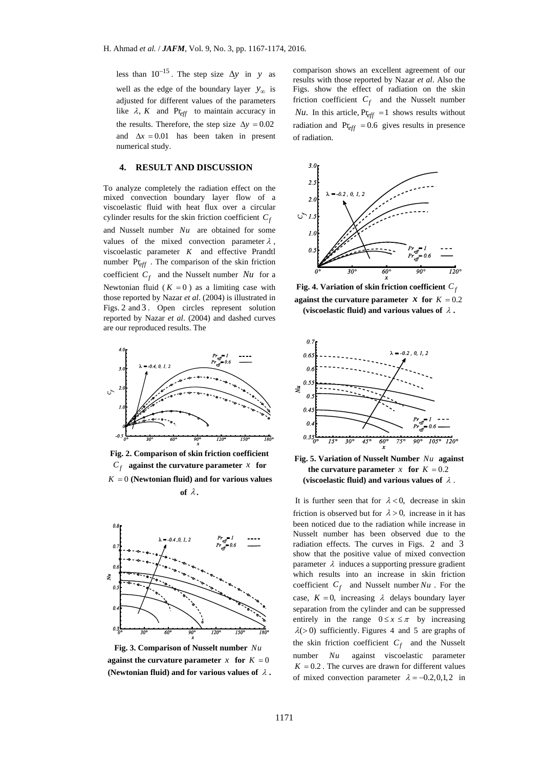less than  $10^{-15}$ . The step size  $\Delta y$  in *y* as well as the edge of the boundary layer  $y_{\infty}$  is adjusted for different values of the parameters like  $\lambda$ , *K* and Pr<sub>eff</sub> to maintain accuracy in the results. Therefore, the step size  $\Delta y = 0.02$ and  $\Delta x = 0.01$  has been taken in present numerical study.

#### **4. RESULT AND DISCUSSION**

To analyze completely the radiation effect on the mixed convection boundary layer flow of a viscoelastic fluid with heat flux over a circular cylinder results for the skin friction coefficient  $C_f$ and Nusselt number *Nu* are obtained for some values of the mixed convection parameter  $\lambda$ , viscoelastic parameter *K* and effective Prandtl number Pr*eff* . The comparison of the skin friction coefficient  $C_f$  and the Nusselt number *Nu* for a Newtonian fluid ( $K = 0$ ) as a limiting case with those reported by Nazar *et al*. (2004) is illustrated in Figs. 2 and 3 . Open circles represent solution reported by Nazar *et al*. (2004) and dashed curves are our reproduced results. The



**Fig. 2. Comparison of skin friction coefficient**   $C_f$  against the curvature parameter *x* for  $K = 0$  (Newtonian fluid) and for various values of  $\lambda$ .



**Fig. 3. Comparison of Nusselt number** *Nu* **against the curvature parameter**  $x$  for  $K = 0$ **(Newtonian fluid) and for various values of**  $\lambda$ **.** 

comparison shows an excellent agreement of our results with those reported by Nazar *et al*. Also the Figs. show the effect of radiation on the skin friction coefficient  $C_f$  and the Nusselt number *Nu*. In this article,  $Pr_{eff} = 1$  shows results without radiation and  $Pr_{eff} = 0.6$  gives results in presence of radiation.



**against the curvature parameter** *x* **for**  $K = 0.2$ (viscoelastic fluid) and various values of  $\lambda$ .



**Fig. 5. Variation of Nusselt Number** *Nu* **against the curvature parameter** *x* for  $K = 0.2$ (viscoelastic fluid) and various values of  $\lambda$ .

It is further seen that for  $\lambda < 0$ , decrease in skin friction is observed but for  $\lambda > 0$ , increase in it has been noticed due to the radiation while increase in Nusselt number has been observed due to the radiation effects. The curves in Figs. 2 and 3 show that the positive value of mixed convection parameter  $\lambda$  induces a supporting pressure gradient which results into an increase in skin friction coefficient  $C_f$  and Nusselt number  $Nu$ . For the case,  $K = 0$ , increasing  $\lambda$  delays boundary layer separation from the cylinder and can be suppressed entirely in the range  $0 \le x \le \pi$  by increasing  $\lambda$ (>0) sufficiently. Figures 4 and 5 are graphs of the skin friction coefficient  $C_f$  and the Nusselt number *Nu* against viscoelastic parameter  $K = 0.2$ . The curves are drawn for different values of mixed convection parameter  $\lambda = -0.2, 0, 1, 2$  in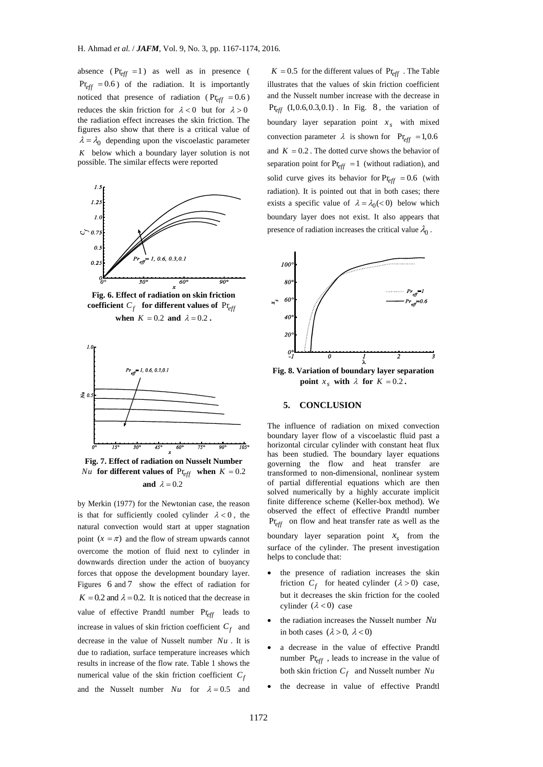absence ( $Pr_{eff}$  = 1) as well as in presence (  $Pr_{eff} = 0.6$ ) of the radiation. It is importantly noticed that presence of radiation ( $Pr_{eff} = 0.6$ ) reduces the skin friction for  $\lambda < 0$  but for  $\lambda > 0$ the radiation effect increases the skin friction. The figures also show that there is a critical value of  $\lambda = \lambda_0$  depending upon the viscoelastic parameter *K* below which a boundary layer solution is not possible. The similar effects were reported



**Fig. 6. Effect of radiation on skin friction coefficient**  $C_f$  for different values of  $Pr_{eff}$ **when**  $K = 0.2$  **and**  $\lambda = 0.2$ .



**Fig. 7. Effect of radiation on Nusselt Number**  *Nu* **for different values of**  $Pr_{eff}$  **when**  $K = 0.2$ **and**  $\lambda = 0.2$ 

by Merkin (1977) for the Newtonian case, the reason is that for sufficiently cooled cylinder  $\lambda < 0$ , the natural convection would start at upper stagnation point  $(x = \pi)$  and the flow of stream upwards cannot overcome the motion of fluid next to cylinder in downwards direction under the action of buoyancy forces that oppose the development boundary layer. Figures 6 and 7 show the effect of radiation for  $K = 0.2$  and  $\lambda = 0.2$ . It is noticed that the decrease in value of effective Prandtl number Pr*eff* leads to increase in values of skin friction coefficient  $C_f$  and decrease in the value of Nusselt number *Nu* . It is due to radiation, surface temperature increases which results in increase of the flow rate. Table 1 shows the numerical value of the skin friction coefficient  $C_f$ and the Nusselt number  $Nu$  for  $\lambda = 0.5$  and

 $K = 0.5$  for the different values of  $Pr_{eff}$ . The Table illustrates that the values of skin friction coefficient and the Nusselt number increase with the decrease in  $Pr_{eff}$  (1,0.6,0.3,0.1) *In Fig.* 8, the variation of boundary layer separation point  $x_s$  with mixed convection parameter  $\lambda$  is shown for  $Pr_{eff} = 1,0.6$ and  $K = 0.2$ . The dotted curve shows the behavior of separation point for  $Pr_{eff} = 1$  (without radiation), and solid curve gives its behavior for  $Pr_{eff} = 0.6$  (with radiation). It is pointed out that in both cases; there exists a specific value of  $\lambda = \lambda_0 < 0$ ) below which boundary layer does not exist. It also appears that presence of radiation increases the critical value  $\lambda_0$ .



**point**  $x_s$  with  $\lambda$  for  $K = 0.2$ .

# **5. CONCLUSION**

The influence of radiation on mixed convection boundary layer flow of a viscoelastic fluid past a horizontal circular cylinder with constant heat flux has been studied. The boundary layer equations governing the flow and heat transfer are transformed to non-dimensional, nonlinear system of partial differential equations which are then solved numerically by a highly accurate implicit finite difference scheme (Keller-box method). We observed the effect of effective Prandtl number Pr*eff* on flow and heat transfer rate as well as the boundary layer separation point  $x<sub>s</sub>$  from the surface of the cylinder. The present investigation helps to conclude that:

- the presence of radiation increases the skin friction  $C_f$  for heated cylinder  $(\lambda > 0)$  case, but it decreases the skin friction for the cooled cylinder  $(\lambda < 0)$  case
- the radiation increases the Nusselt number *Nu* in both cases  $(\lambda > 0, \lambda < 0)$
- a decrease in the value of effective Prandtl number Pr*eff* , leads to increase in the value of both skin friction  $C_f$  and Nusselt number  $Nu$
- the decrease in value of effective Prandtl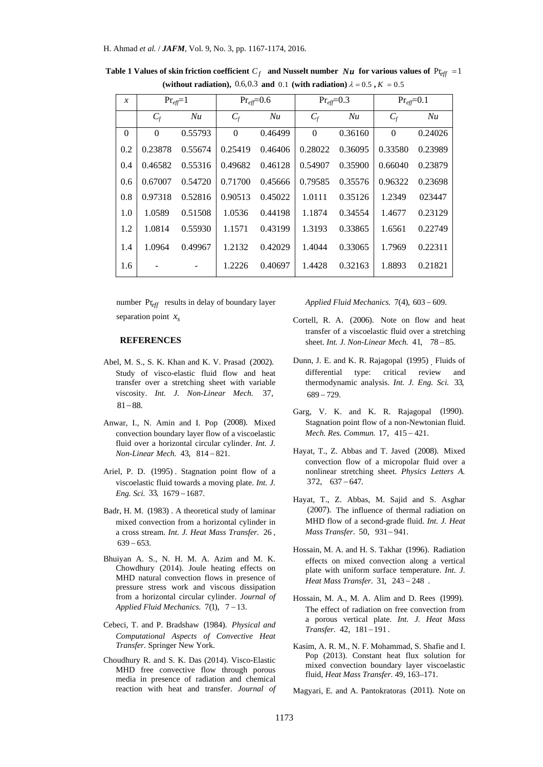| $\mathcal{X}$ | $Pr_{eff}=1$ |         | $Pr_{eff}=0.6$ |         | $Pr_{\text{eff}}=0.3$ |         | $Pr_{\text{eff}}=0.1$ |         |
|---------------|--------------|---------|----------------|---------|-----------------------|---------|-----------------------|---------|
|               | $C_f$        | Nu      | $C_f$          | Nu      | $C_f$                 | Nu      | $C_f$                 | Nu      |
| $\Omega$      | $\Omega$     | 0.55793 | $\Omega$       | 0.46499 | $\Omega$              | 0.36160 | $\Omega$              | 0.24026 |
| 0.2           | 0.23878      | 0.55674 | 0.25419        | 0.46406 | 0.28022               | 0.36095 | 0.33580               | 0.23989 |
| 0.4           | 0.46582      | 0.55316 | 0.49682        | 0.46128 | 0.54907               | 0.35900 | 0.66040               | 0.23879 |
| 0.6           | 0.67007      | 0.54720 | 0.71700        | 0.45666 | 0.79585               | 0.35576 | 0.96322               | 0.23698 |
| 0.8           | 0.97318      | 0.52816 | 0.90513        | 0.45022 | 1.0111                | 0.35126 | 1.2349                | 023447  |
| 1.0           | 1.0589       | 0.51508 | 1.0536         | 0.44198 | 1.1874                | 0.34554 | 1.4677                | 0.23129 |
| 1.2           | 1.0814       | 0.55930 | 1.1571         | 0.43199 | 1.3193                | 0.33865 | 1.6561                | 0.22749 |
| 1.4           | 1.0964       | 0.49967 | 1.2132         | 0.42029 | 1.4044                | 0.33065 | 1.7969                | 0.22311 |
| 1.6           |              |         | 1.2226         | 0.40697 | 1.4428                | 0.32163 | 1.8893                | 0.21821 |

**Table 1 Values of skin friction coefficient**  $C_f$  **and Nusselt number**  $Nu$  **for various values of**  $Pr_{eff} = 1$ (without radiation), 0.6,0.3 and 0.1 (with radiation)  $\lambda = 0.5$ ,  $K = 0.5$ 

number Pr*eff* results in delay of boundary layer separation point  $x<sub>s</sub>$ 

#### **REFERENCES**

- Abel, M. S., S. K. Khan and K. V. Prasad (2002). Study of visco-elastic fluid flow and heat transfer over a stretching sheet with variable viscosity. *Int. J. Non-Linear Mech.* 37,  $81 - 88.$
- Anwar, I., N. Amin and I. Pop (2008). Mixed convection boundary layer flow of a viscoelastic fluid over a horizontal circular cylinder. *Int. J. Non-Linear Mech.* 43, 814-821.
- Ariel, P. D. (1995) . Stagnation point flow of a viscoelastic fluid towards a moving plate. *Int. J. Eng. Sci.* 33, 1679 - 1687.
- Badr, H. M. (1983) . A theoretical study of laminar mixed convection from a horizontal cylinder in a cross stream. *Int. J. Heat Mass Transfer.* 26 ,  $639 - 653$ .
- Bhuiyan A. S., N. H. M. A. Azim and M. K. Chowdhury (2014). Joule heating effects on MHD natural convection flows in presence of pressure stress work and viscous dissipation from a horizontal circular cylinder. *Journal of*  Applied Fluid Mechanics.  $7(1)$ ,  $7-13$ .
- Cebeci, T. and P. Bradshaw (1984). *Physical and Computational Aspects of Convective Heat Transfer.* Springer New York.
- Choudhury R. and S. K. Das (2014). Visco-Elastic MHD free convective flow through porous media in presence of radiation and chemical reaction with heat and transfer. *Journal of*

*Applied Fluid Mechanics.* 7(4), 603 - 609.

- Cortell, R. A. (2006). Note on flow and heat transfer of a viscoelastic fluid over a stretching sheet. *Int. J. Non-Linear Mech.* 41, 78-85.
- Dunn, J. E. and K. R. Rajagopal (1995) . Fluids of differential type: critical review and thermodynamic analysis. *Int. J. Eng. Sci.* 33,  $689 - 729.$
- Garg, V. K. and K. R. Rajagopal (1990). Stagnation point flow of a non-Newtonian fluid. *Mech. Res. Commun.* 17, 415-421.
- Hayat, T., Z. Abbas and T. Javed (2008). Mixed convection flow of a micropolar fluid over a nonlinear stretching sheet. *Physics Letters A.*  $372, 637 - 647.$
- Hayat, T., Z. Abbas, M. Sajid and S. Asghar (2007). The influence of thermal radiation on MHD flow of a second-grade fluid. *Int. J. Heat Mass Transfer.* 50, 931-941.
- Hossain, M. A. and H. S. Takhar (1996). Radiation effects on mixed convection along a vertical plate with uniform surface temperature. *Int. J. Heat Mass Transfer.* 31, 243 - 248.
- Hossain, M. A., M. A. Alim and D. Rees (1999). The effect of radiation on free convection from a porous vertical plate. *Int. J. Heat Mass Transfer.* 42, 181-191.
- Kasim, A. R. M., N. F. Mohammad, S. Shafie and I. Pop (2013). Constant heat flux solution for mixed convection boundary layer viscoelastic fluid, *Heat Mass Transfer*. 49, 163–171.

Magyari, E. and A. Pantokratoras (2011). Note on